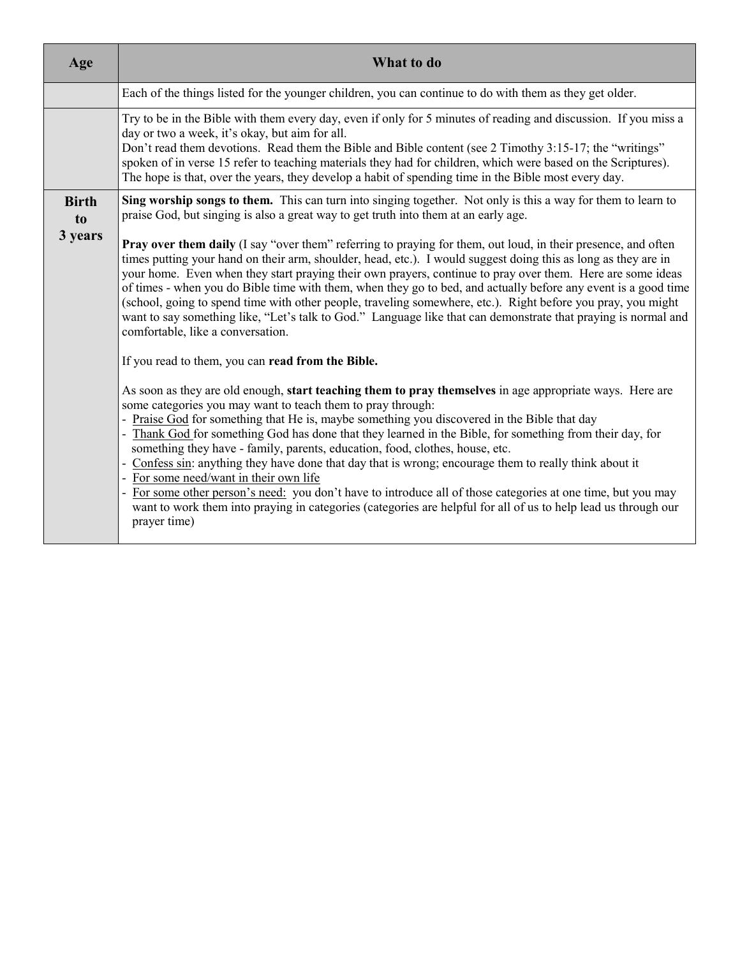| Age                | What to do                                                                                                                                                                                                                                                                                                                                                                                                                                                                                                                                                                                                                                                                                                                                                                                                                                                                                                                |
|--------------------|---------------------------------------------------------------------------------------------------------------------------------------------------------------------------------------------------------------------------------------------------------------------------------------------------------------------------------------------------------------------------------------------------------------------------------------------------------------------------------------------------------------------------------------------------------------------------------------------------------------------------------------------------------------------------------------------------------------------------------------------------------------------------------------------------------------------------------------------------------------------------------------------------------------------------|
|                    | Each of the things listed for the younger children, you can continue to do with them as they get older.                                                                                                                                                                                                                                                                                                                                                                                                                                                                                                                                                                                                                                                                                                                                                                                                                   |
|                    | Try to be in the Bible with them every day, even if only for 5 minutes of reading and discussion. If you miss a<br>day or two a week, it's okay, but aim for all.<br>Don't read them devotions. Read them the Bible and Bible content (see 2 Timothy 3:15-17; the "writings"<br>spoken of in verse 15 refer to teaching materials they had for children, which were based on the Scriptures).<br>The hope is that, over the years, they develop a habit of spending time in the Bible most every day.                                                                                                                                                                                                                                                                                                                                                                                                                     |
| <b>Birth</b><br>to | Sing worship songs to them. This can turn into singing together. Not only is this a way for them to learn to<br>praise God, but singing is also a great way to get truth into them at an early age.                                                                                                                                                                                                                                                                                                                                                                                                                                                                                                                                                                                                                                                                                                                       |
| 3 years            | Pray over them daily (I say "over them" referring to praying for them, out loud, in their presence, and often<br>times putting your hand on their arm, shoulder, head, etc.). I would suggest doing this as long as they are in<br>your home. Even when they start praying their own prayers, continue to pray over them. Here are some ideas<br>of times - when you do Bible time with them, when they go to bed, and actually before any event is a good time<br>(school, going to spend time with other people, traveling somewhere, etc.). Right before you pray, you might<br>want to say something like, "Let's talk to God." Language like that can demonstrate that praying is normal and<br>comfortable, like a conversation.                                                                                                                                                                                    |
|                    | If you read to them, you can read from the Bible.<br>As soon as they are old enough, start teaching them to pray themselves in age appropriate ways. Here are<br>some categories you may want to teach them to pray through:<br>- Praise God for something that He is, maybe something you discovered in the Bible that day<br>Thank God for something God has done that they learned in the Bible, for something from their day, for<br>something they have - family, parents, education, food, clothes, house, etc.<br>- Confess sin: anything they have done that day that is wrong; encourage them to really think about it<br>- For some need/want in their own life<br>For some other person's need: you don't have to introduce all of those categories at one time, but you may<br>want to work them into praying in categories (categories are helpful for all of us to help lead us through our<br>prayer time) |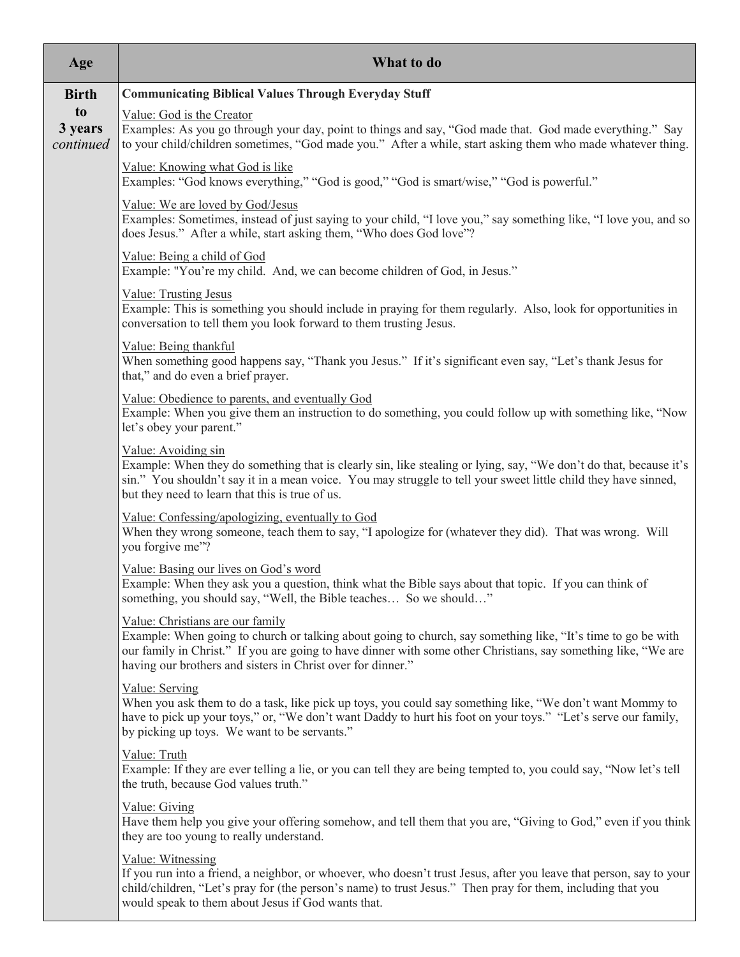| Age                        | What to do                                                                                                                                                                                                                                                                                                                        |
|----------------------------|-----------------------------------------------------------------------------------------------------------------------------------------------------------------------------------------------------------------------------------------------------------------------------------------------------------------------------------|
| <b>Birth</b>               | <b>Communicating Biblical Values Through Everyday Stuff</b>                                                                                                                                                                                                                                                                       |
| to<br>3 years<br>continued | Value: God is the Creator<br>Examples: As you go through your day, point to things and say, "God made that. God made everything." Say<br>to your child/children sometimes, "God made you." After a while, start asking them who made whatever thing.                                                                              |
|                            | Value: Knowing what God is like<br>Examples: "God knows everything," "God is good," "God is smart/wise," "God is powerful."                                                                                                                                                                                                       |
|                            | Value: We are loved by God/Jesus<br>Examples: Sometimes, instead of just saying to your child, "I love you," say something like, "I love you, and so<br>does Jesus." After a while, start asking them, "Who does God love"?                                                                                                       |
|                            | Value: Being a child of God<br>Example: "You're my child. And, we can become children of God, in Jesus."                                                                                                                                                                                                                          |
|                            | <b>Value: Trusting Jesus</b><br>Example: This is something you should include in praying for them regularly. Also, look for opportunities in<br>conversation to tell them you look forward to them trusting Jesus.                                                                                                                |
|                            | Value: Being thankful<br>When something good happens say, "Thank you Jesus." If it's significant even say, "Let's thank Jesus for<br>that," and do even a brief prayer.                                                                                                                                                           |
|                            | Value: Obedience to parents, and eventually God<br>Example: When you give them an instruction to do something, you could follow up with something like, "Now<br>let's obey your parent."                                                                                                                                          |
|                            | Value: Avoiding sin<br>Example: When they do something that is clearly sin, like stealing or lying, say, "We don't do that, because it's<br>sin." You shouldn't say it in a mean voice. You may struggle to tell your sweet little child they have sinned,<br>but they need to learn that this is true of us.                     |
|                            | Value: Confessing/apologizing, eventually to God<br>When they wrong someone, teach them to say, "I apologize for (whatever they did). That was wrong. Will<br>you forgive me"?                                                                                                                                                    |
|                            | Value: Basing our lives on God's word<br>Example: When they ask you a question, think what the Bible says about that topic. If you can think of<br>something, you should say, "Well, the Bible teaches So we should"                                                                                                              |
|                            | Value: Christians are our family<br>Example: When going to church or talking about going to church, say something like, "It's time to go be with<br>our family in Christ." If you are going to have dinner with some other Christians, say something like, "We are<br>having our brothers and sisters in Christ over for dinner." |
|                            | Value: Serving<br>When you ask them to do a task, like pick up toys, you could say something like, "We don't want Mommy to<br>have to pick up your toys," or, "We don't want Daddy to hurt his foot on your toys." "Let's serve our family,<br>by picking up toys. We want to be servants."                                       |
|                            | Value: Truth<br>Example: If they are ever telling a lie, or you can tell they are being tempted to, you could say, "Now let's tell<br>the truth, because God values truth."                                                                                                                                                       |
|                            | Value: Giving<br>Have them help you give your offering somehow, and tell them that you are, "Giving to God," even if you think<br>they are too young to really understand.                                                                                                                                                        |
|                            | Value: Witnessing<br>If you run into a friend, a neighbor, or whoever, who doesn't trust Jesus, after you leave that person, say to your<br>child/children, "Let's pray for (the person's name) to trust Jesus." Then pray for them, including that you<br>would speak to them about Jesus if God wants that.                     |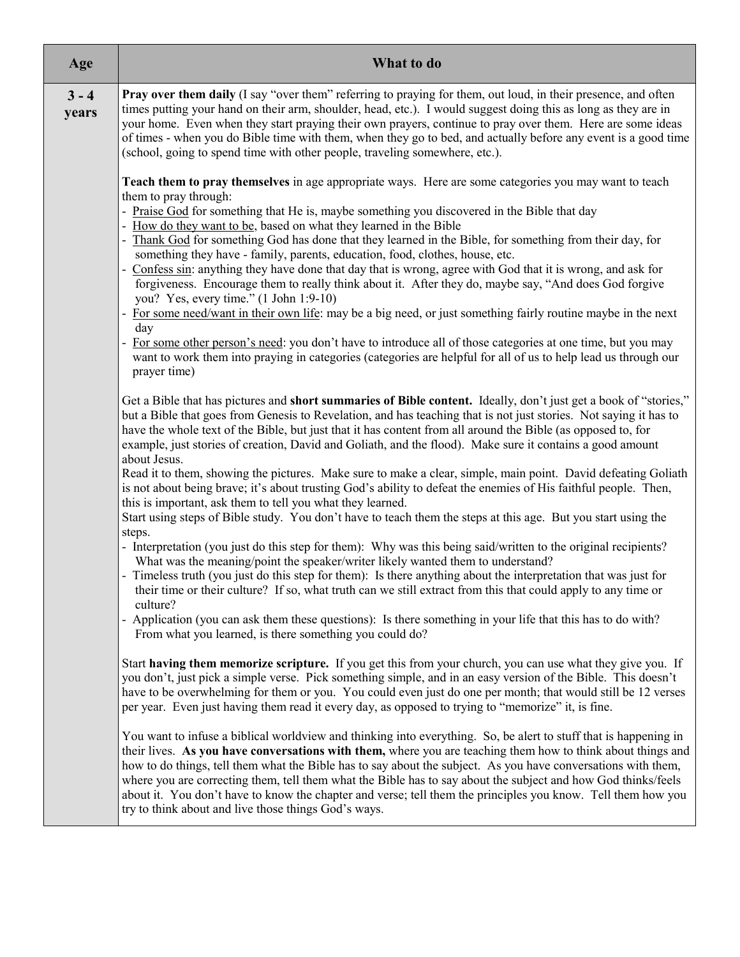| Age              | What to do                                                                                                                                                                                                                                                                                                                                                                                                                                                                                                                                                                                                                                |
|------------------|-------------------------------------------------------------------------------------------------------------------------------------------------------------------------------------------------------------------------------------------------------------------------------------------------------------------------------------------------------------------------------------------------------------------------------------------------------------------------------------------------------------------------------------------------------------------------------------------------------------------------------------------|
| $3 - 4$<br>years | <b>Pray over them daily</b> (I say "over them" referring to praying for them, out loud, in their presence, and often<br>times putting your hand on their arm, shoulder, head, etc.). I would suggest doing this as long as they are in<br>your home. Even when they start praying their own prayers, continue to pray over them. Here are some ideas<br>of times - when you do Bible time with them, when they go to bed, and actually before any event is a good time<br>(school, going to spend time with other people, traveling somewhere, etc.).                                                                                     |
|                  | Teach them to pray themselves in age appropriate ways. Here are some categories you may want to teach<br>them to pray through:<br>- Praise God for something that He is, maybe something you discovered in the Bible that day                                                                                                                                                                                                                                                                                                                                                                                                             |
|                  | How do they want to be, based on what they learned in the Bible<br>Thank God for something God has done that they learned in the Bible, for something from their day, for<br>something they have - family, parents, education, food, clothes, house, etc.<br>Confess sin: anything they have done that day that is wrong, agree with God that it is wrong, and ask for                                                                                                                                                                                                                                                                    |
|                  | forgiveness. Encourage them to really think about it. After they do, maybe say, "And does God forgive<br>you? Yes, every time." (1 John 1:9-10)<br>- For some need/want in their own life: may be a big need, or just something fairly routine maybe in the next<br>day                                                                                                                                                                                                                                                                                                                                                                   |
|                  | - For some other person's need: you don't have to introduce all of those categories at one time, but you may<br>want to work them into praying in categories (categories are helpful for all of us to help lead us through our<br>prayer time)                                                                                                                                                                                                                                                                                                                                                                                            |
|                  | Get a Bible that has pictures and <b>short summaries of Bible content.</b> Ideally, don't just get a book of "stories,"<br>but a Bible that goes from Genesis to Revelation, and has teaching that is not just stories. Not saying it has to<br>have the whole text of the Bible, but just that it has content from all around the Bible (as opposed to, for<br>example, just stories of creation, David and Goliath, and the flood). Make sure it contains a good amount<br>about Jesus.                                                                                                                                                 |
|                  | Read it to them, showing the pictures. Make sure to make a clear, simple, main point. David defeating Goliath<br>is not about being brave; it's about trusting God's ability to defeat the enemies of His faithful people. Then,<br>this is important, ask them to tell you what they learned.                                                                                                                                                                                                                                                                                                                                            |
|                  | Start using steps of Bible study. You don't have to teach them the steps at this age. But you start using the<br>steps.                                                                                                                                                                                                                                                                                                                                                                                                                                                                                                                   |
|                  | - Interpretation (you just do this step for them): Why was this being said/written to the original recipients?<br>What was the meaning/point the speaker/writer likely wanted them to understand?                                                                                                                                                                                                                                                                                                                                                                                                                                         |
|                  | - Timeless truth (you just do this step for them): Is there anything about the interpretation that was just for<br>their time or their culture? If so, what truth can we still extract from this that could apply to any time or<br>culture?                                                                                                                                                                                                                                                                                                                                                                                              |
|                  | - Application (you can ask them these questions): Is there something in your life that this has to do with?<br>From what you learned, is there something you could do?                                                                                                                                                                                                                                                                                                                                                                                                                                                                    |
|                  | Start having them memorize scripture. If you get this from your church, you can use what they give you. If<br>you don't, just pick a simple verse. Pick something simple, and in an easy version of the Bible. This doesn't<br>have to be overwhelming for them or you. You could even just do one per month; that would still be 12 verses<br>per year. Even just having them read it every day, as opposed to trying to "memorize" it, is fine.                                                                                                                                                                                         |
|                  | You want to infuse a biblical worldview and thinking into everything. So, be alert to stuff that is happening in<br>their lives. As you have conversations with them, where you are teaching them how to think about things and<br>how to do things, tell them what the Bible has to say about the subject. As you have conversations with them,<br>where you are correcting them, tell them what the Bible has to say about the subject and how God thinks/feels<br>about it. You don't have to know the chapter and verse; tell them the principles you know. Tell them how you<br>try to think about and live those things God's ways. |
|                  |                                                                                                                                                                                                                                                                                                                                                                                                                                                                                                                                                                                                                                           |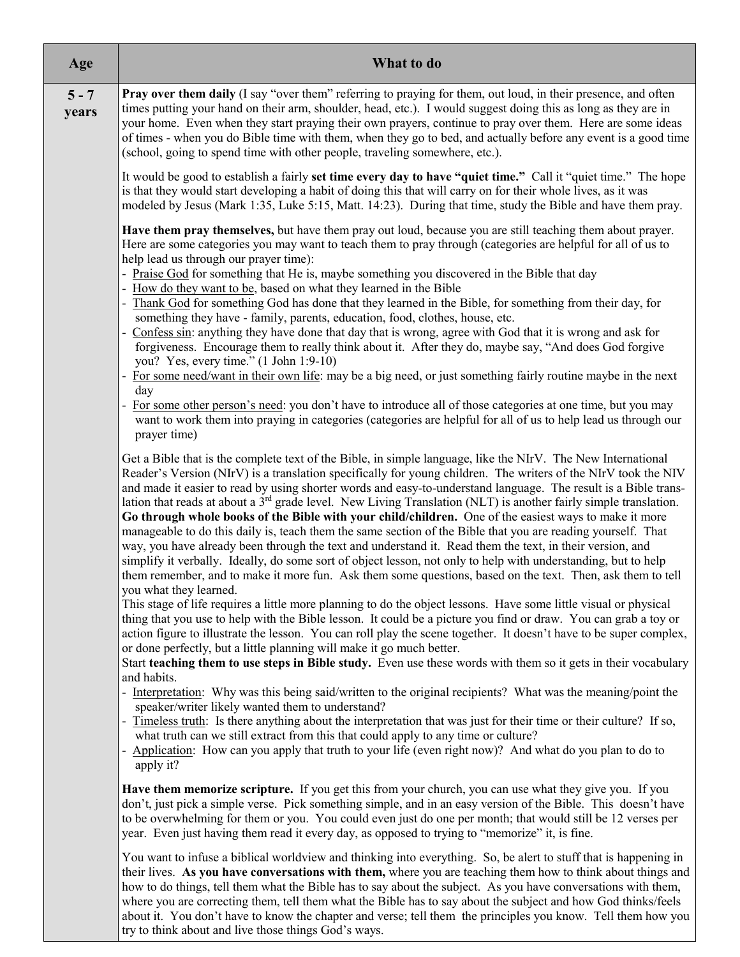| Age              | What to do                                                                                                                                                                                                                                                                                                                                                                                                                                                                                                                                                                                                                                                                                                                                                                                                                                                                                                                                                                                                                                             |
|------------------|--------------------------------------------------------------------------------------------------------------------------------------------------------------------------------------------------------------------------------------------------------------------------------------------------------------------------------------------------------------------------------------------------------------------------------------------------------------------------------------------------------------------------------------------------------------------------------------------------------------------------------------------------------------------------------------------------------------------------------------------------------------------------------------------------------------------------------------------------------------------------------------------------------------------------------------------------------------------------------------------------------------------------------------------------------|
| $5 - 7$<br>years | <b>Pray over them daily</b> (I say "over them" referring to praying for them, out loud, in their presence, and often<br>times putting your hand on their arm, shoulder, head, etc.). I would suggest doing this as long as they are in<br>your home. Even when they start praying their own prayers, continue to pray over them. Here are some ideas<br>of times - when you do Bible time with them, when they go to bed, and actually before any event is a good time<br>(school, going to spend time with other people, traveling somewhere, etc.).                                                                                                                                                                                                                                                                                                                                                                                                                                                                                                  |
|                  | It would be good to establish a fairly set time every day to have "quiet time." Call it "quiet time." The hope<br>is that they would start developing a habit of doing this that will carry on for their whole lives, as it was<br>modeled by Jesus (Mark 1:35, Luke 5:15, Matt. 14:23). During that time, study the Bible and have them pray.                                                                                                                                                                                                                                                                                                                                                                                                                                                                                                                                                                                                                                                                                                         |
|                  | Have them pray themselves, but have them pray out loud, because you are still teaching them about prayer.<br>Here are some categories you may want to teach them to pray through (categories are helpful for all of us to<br>help lead us through our prayer time):                                                                                                                                                                                                                                                                                                                                                                                                                                                                                                                                                                                                                                                                                                                                                                                    |
|                  | - Praise God for something that He is, maybe something you discovered in the Bible that day<br>How do they want to be, based on what they learned in the Bible                                                                                                                                                                                                                                                                                                                                                                                                                                                                                                                                                                                                                                                                                                                                                                                                                                                                                         |
|                  | Thank God for something God has done that they learned in the Bible, for something from their day, for<br>something they have - family, parents, education, food, clothes, house, etc.                                                                                                                                                                                                                                                                                                                                                                                                                                                                                                                                                                                                                                                                                                                                                                                                                                                                 |
|                  | Confess sin: anything they have done that day that is wrong, agree with God that it is wrong and ask for<br>$\overline{\phantom{a}}$<br>forgiveness. Encourage them to really think about it. After they do, maybe say, "And does God forgive<br>you? Yes, every time." (1 John 1:9-10)                                                                                                                                                                                                                                                                                                                                                                                                                                                                                                                                                                                                                                                                                                                                                                |
|                  | For some need/want in their own life: may be a big need, or just something fairly routine maybe in the next<br>$\overline{\phantom{a}}$<br>day                                                                                                                                                                                                                                                                                                                                                                                                                                                                                                                                                                                                                                                                                                                                                                                                                                                                                                         |
|                  | For some other person's need: you don't have to introduce all of those categories at one time, but you may<br>$\overline{\phantom{a}}$<br>want to work them into praying in categories (categories are helpful for all of us to help lead us through our<br>prayer time)                                                                                                                                                                                                                                                                                                                                                                                                                                                                                                                                                                                                                                                                                                                                                                               |
|                  | Get a Bible that is the complete text of the Bible, in simple language, like the NIrV. The New International<br>Reader's Version (NIrV) is a translation specifically for young children. The writers of the NIrV took the NIV<br>and made it easier to read by using shorter words and easy-to-understand language. The result is a Bible trans-<br>lation that reads at about a 3 <sup>rd</sup> grade level. New Living Translation (NLT) is another fairly simple translation.<br>Go through whole books of the Bible with your child/children. One of the easiest ways to make it more<br>manageable to do this daily is, teach them the same section of the Bible that you are reading yourself. That<br>way, you have already been through the text and understand it. Read them the text, in their version, and<br>simplify it verbally. Ideally, do some sort of object lesson, not only to help with understanding, but to help<br>them remember, and to make it more fun. Ask them some questions, based on the text. Then, ask them to tell |
|                  | you what they learned.<br>This stage of life requires a little more planning to do the object lessons. Have some little visual or physical<br>thing that you use to help with the Bible lesson. It could be a picture you find or draw. You can grab a toy or<br>action figure to illustrate the lesson. You can roll play the scene together. It doesn't have to be super complex,<br>or done perfectly, but a little planning will make it go much better.                                                                                                                                                                                                                                                                                                                                                                                                                                                                                                                                                                                           |
|                  | Start teaching them to use steps in Bible study. Even use these words with them so it gets in their vocabulary<br>and habits.                                                                                                                                                                                                                                                                                                                                                                                                                                                                                                                                                                                                                                                                                                                                                                                                                                                                                                                          |
|                  | - Interpretation: Why was this being said/written to the original recipients? What was the meaning/point the<br>speaker/writer likely wanted them to understand?                                                                                                                                                                                                                                                                                                                                                                                                                                                                                                                                                                                                                                                                                                                                                                                                                                                                                       |
|                  | Timeless truth: Is there anything about the interpretation that was just for their time or their culture? If so,<br>what truth can we still extract from this that could apply to any time or culture?                                                                                                                                                                                                                                                                                                                                                                                                                                                                                                                                                                                                                                                                                                                                                                                                                                                 |
|                  | Application: How can you apply that truth to your life (even right now)? And what do you plan to do to<br>apply it?                                                                                                                                                                                                                                                                                                                                                                                                                                                                                                                                                                                                                                                                                                                                                                                                                                                                                                                                    |
|                  | Have them memorize scripture. If you get this from your church, you can use what they give you. If you<br>don't, just pick a simple verse. Pick something simple, and in an easy version of the Bible. This doesn't have<br>to be overwhelming for them or you. You could even just do one per month; that would still be 12 verses per<br>year. Even just having them read it every day, as opposed to trying to "memorize" it, is fine.                                                                                                                                                                                                                                                                                                                                                                                                                                                                                                                                                                                                              |
|                  | You want to infuse a biblical worldview and thinking into everything. So, be alert to stuff that is happening in<br>their lives. As you have conversations with them, where you are teaching them how to think about things and<br>how to do things, tell them what the Bible has to say about the subject. As you have conversations with them,                                                                                                                                                                                                                                                                                                                                                                                                                                                                                                                                                                                                                                                                                                       |

where you are correcting them, tell them what the Bible has to say about the subject and how God thinks/feels about it. You don't have to know the chapter and verse; tell them the principles you know. Tell them how you

try to think about and live those things God's ways.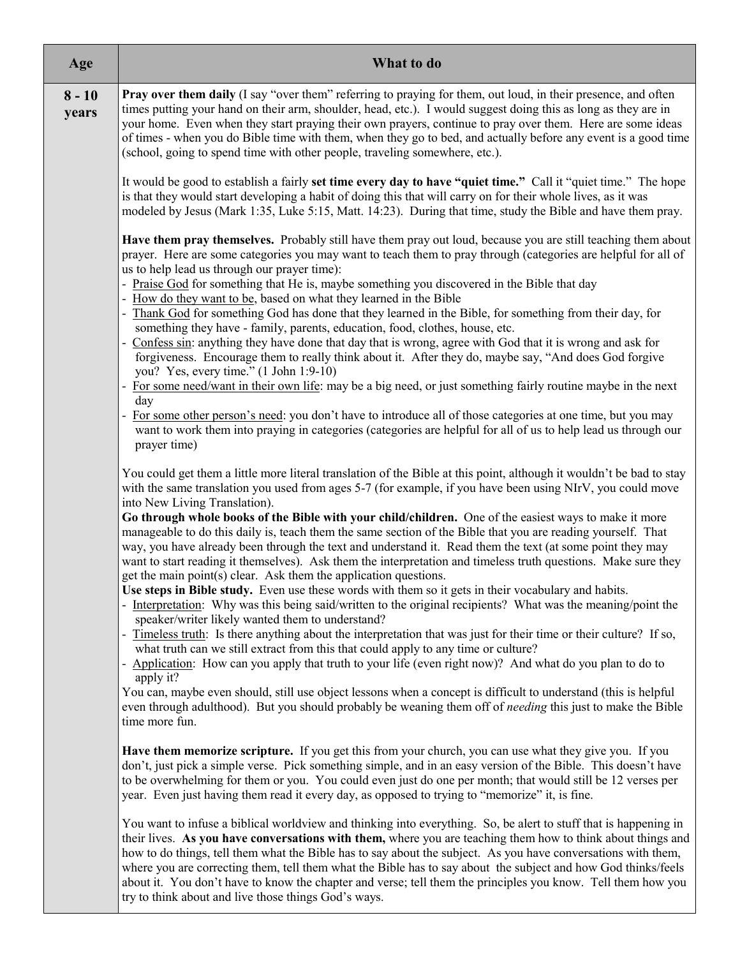| Age               | What to do                                                                                                                                                                                                                                                                                                                                                                                                                                                                                                                                                                                                                                |
|-------------------|-------------------------------------------------------------------------------------------------------------------------------------------------------------------------------------------------------------------------------------------------------------------------------------------------------------------------------------------------------------------------------------------------------------------------------------------------------------------------------------------------------------------------------------------------------------------------------------------------------------------------------------------|
| $8 - 10$<br>years | Pray over them daily (I say "over them" referring to praying for them, out loud, in their presence, and often<br>times putting your hand on their arm, shoulder, head, etc.). I would suggest doing this as long as they are in<br>your home. Even when they start praying their own prayers, continue to pray over them. Here are some ideas<br>of times - when you do Bible time with them, when they go to bed, and actually before any event is a good time<br>(school, going to spend time with other people, traveling somewhere, etc.).                                                                                            |
|                   | It would be good to establish a fairly set time every day to have "quiet time." Call it "quiet time." The hope<br>is that they would start developing a habit of doing this that will carry on for their whole lives, as it was<br>modeled by Jesus (Mark 1:35, Luke 5:15, Matt. 14:23). During that time, study the Bible and have them pray.                                                                                                                                                                                                                                                                                            |
|                   | Have them pray themselves. Probably still have them pray out loud, because you are still teaching them about<br>prayer. Here are some categories you may want to teach them to pray through (categories are helpful for all of<br>us to help lead us through our prayer time):<br>- Praise God for something that He is, maybe something you discovered in the Bible that day<br>- How do they want to be, based on what they learned in the Bible                                                                                                                                                                                        |
|                   | Thank God for something God has done that they learned in the Bible, for something from their day, for                                                                                                                                                                                                                                                                                                                                                                                                                                                                                                                                    |
|                   | something they have - family, parents, education, food, clothes, house, etc.<br>Confess sin: anything they have done that day that is wrong, agree with God that it is wrong and ask for<br>forgiveness. Encourage them to really think about it. After they do, maybe say, "And does God forgive<br>you? Yes, every time." (1 John 1:9-10)                                                                                                                                                                                                                                                                                               |
|                   | For some need/want in their own life: may be a big need, or just something fairly routine maybe in the next                                                                                                                                                                                                                                                                                                                                                                                                                                                                                                                               |
|                   | day<br>For some other person's need: you don't have to introduce all of those categories at one time, but you may<br>want to work them into praying in categories (categories are helpful for all of us to help lead us through our<br>prayer time)                                                                                                                                                                                                                                                                                                                                                                                       |
|                   | You could get them a little more literal translation of the Bible at this point, although it wouldn't be bad to stay<br>with the same translation you used from ages 5-7 (for example, if you have been using NIrV, you could move<br>into New Living Translation).                                                                                                                                                                                                                                                                                                                                                                       |
|                   | Go through whole books of the Bible with your child/children. One of the easiest ways to make it more<br>manageable to do this daily is, teach them the same section of the Bible that you are reading yourself. That<br>way, you have already been through the text and understand it. Read them the text (at some point they may<br>want to start reading it themselves). Ask them the interpretation and timeless truth questions. Make sure they                                                                                                                                                                                      |
|                   | get the main point(s) clear. Ask them the application questions.<br>Use steps in Bible study. Even use these words with them so it gets in their vocabulary and habits.<br>Interpretation: Why was this being said/written to the original recipients? What was the meaning/point the<br>speaker/writer likely wanted them to understand?                                                                                                                                                                                                                                                                                                 |
|                   | - Timeless truth: Is there anything about the interpretation that was just for their time or their culture? If so,<br>what truth can we still extract from this that could apply to any time or culture?                                                                                                                                                                                                                                                                                                                                                                                                                                  |
|                   | Application: How can you apply that truth to your life (even right now)? And what do you plan to do to<br>$\overline{\phantom{a}}$<br>apply it?                                                                                                                                                                                                                                                                                                                                                                                                                                                                                           |
|                   | You can, maybe even should, still use object lessons when a concept is difficult to understand (this is helpful<br>even through adulthood). But you should probably be weaning them off of <i>needing</i> this just to make the Bible<br>time more fun.                                                                                                                                                                                                                                                                                                                                                                                   |
|                   | Have them memorize scripture. If you get this from your church, you can use what they give you. If you<br>don't, just pick a simple verse. Pick something simple, and in an easy version of the Bible. This doesn't have<br>to be overwhelming for them or you. You could even just do one per month; that would still be 12 verses per<br>year. Even just having them read it every day, as opposed to trying to "memorize" it, is fine.                                                                                                                                                                                                 |
|                   | You want to infuse a biblical worldview and thinking into everything. So, be alert to stuff that is happening in<br>their lives. As you have conversations with them, where you are teaching them how to think about things and<br>how to do things, tell them what the Bible has to say about the subject. As you have conversations with them,<br>where you are correcting them, tell them what the Bible has to say about the subject and how God thinks/feels<br>about it. You don't have to know the chapter and verse; tell them the principles you know. Tell them how you<br>try to think about and live those things God's ways. |